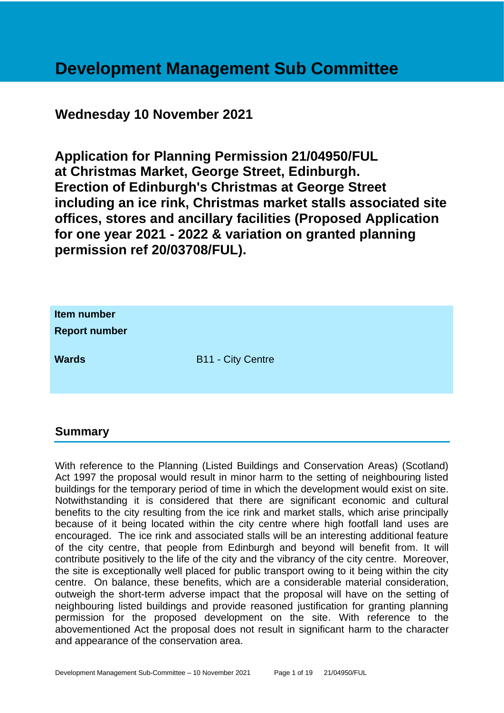## **Development Management Sub Committee**

## **Wednesday 10 November 2021**

**Application for Planning Permission 21/04950/FUL at Christmas Market, George Street, Edinburgh. Erection of Edinburgh's Christmas at George Street including an ice rink, Christmas market stalls associated site offices, stores and ancillary facilities (Proposed Application for one year 2021 - 2022 & variation on granted planning permission ref 20/03708/FUL).**

| Item number<br><b>Report number</b> |                          |
|-------------------------------------|--------------------------|
| <b>Wards</b>                        | <b>B11 - City Centre</b> |

## **Summary**

With reference to the Planning (Listed Buildings and Conservation Areas) (Scotland) Act 1997 the proposal would result in minor harm to the setting of neighbouring listed buildings for the temporary period of time in which the development would exist on site. Notwithstanding it is considered that there are significant economic and cultural benefits to the city resulting from the ice rink and market stalls, which arise principally because of it being located within the city centre where high footfall land uses are encouraged. The ice rink and associated stalls will be an interesting additional feature of the city centre, that people from Edinburgh and beyond will benefit from. It will contribute positively to the life of the city and the vibrancy of the city centre. Moreover, the site is exceptionally well placed for public transport owing to it being within the city centre. On balance, these benefits, which are a considerable material consideration, outweigh the short-term adverse impact that the proposal will have on the setting of neighbouring listed buildings and provide reasoned justification for granting planning permission for the proposed development on the site. With reference to the abovementioned Act the proposal does not result in significant harm to the character and appearance of the conservation area.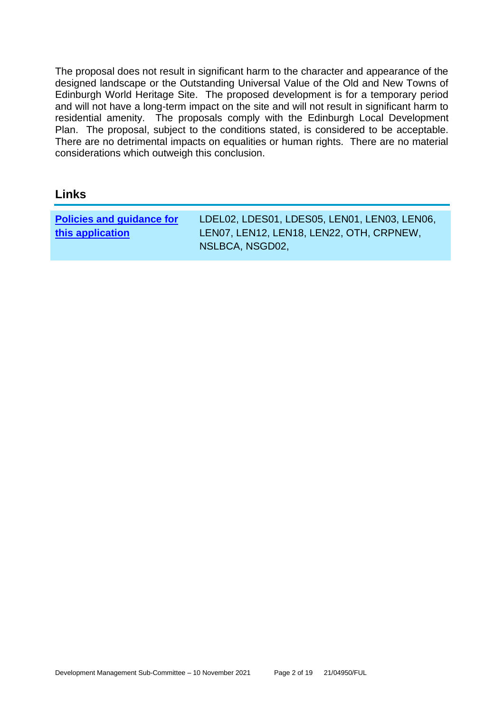The proposal does not result in significant harm to the character and appearance of the designed landscape or the Outstanding Universal Value of the Old and New Towns of Edinburgh World Heritage Site. The proposed development is for a temporary period and will not have a long-term impact on the site and will not result in significant harm to residential amenity. The proposals comply with the Edinburgh Local Development Plan. The proposal, subject to the conditions stated, is considered to be acceptable. There are no detrimental impacts on equalities or human rights. There are no material considerations which outweigh this conclusion.

## **Links**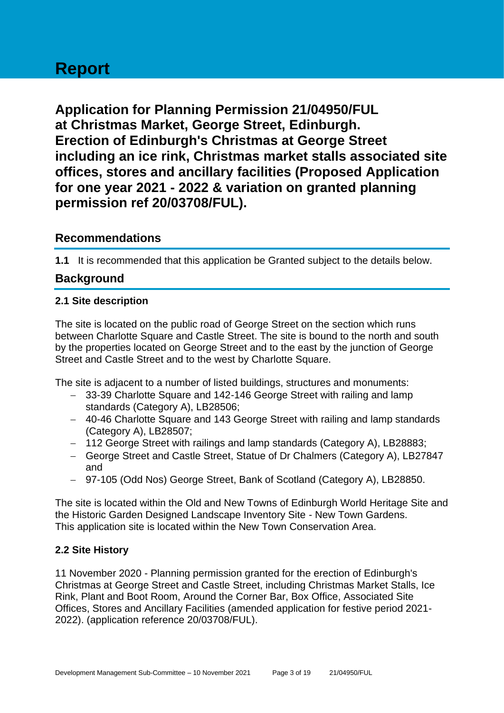## **Report**

**Application for Planning Permission 21/04950/FUL at Christmas Market, George Street, Edinburgh. Erection of Edinburgh's Christmas at George Street including an ice rink, Christmas market stalls associated site offices, stores and ancillary facilities (Proposed Application for one year 2021 - 2022 & variation on granted planning permission ref 20/03708/FUL).**

## **Recommendations**

**1.1** It is recommended that this application be Granted subject to the details below.

## **Background**

## **2.1 Site description**

The site is located on the public road of George Street on the section which runs between Charlotte Square and Castle Street. The site is bound to the north and south by the properties located on George Street and to the east by the junction of George Street and Castle Street and to the west by Charlotte Square.

The site is adjacent to a number of listed buildings, structures and monuments:

- − 33-39 Charlotte Square and 142-146 George Street with railing and lamp standards (Category A), LB28506;
- − 40-46 Charlotte Square and 143 George Street with railing and lamp standards (Category A), LB28507;
- − 112 George Street with railings and lamp standards (Category A), LB28883;
- − George Street and Castle Street, Statue of Dr Chalmers (Category A), LB27847 and
- − 97-105 (Odd Nos) George Street, Bank of Scotland (Category A), LB28850.

The site is located within the Old and New Towns of Edinburgh World Heritage Site and the Historic Garden Designed Landscape Inventory Site - New Town Gardens. This application site is located within the New Town Conservation Area.

## **2.2 Site History**

11 November 2020 - Planning permission granted for the erection of Edinburgh's Christmas at George Street and Castle Street, including Christmas Market Stalls, Ice Rink, Plant and Boot Room, Around the Corner Bar, Box Office, Associated Site Offices, Stores and Ancillary Facilities (amended application for festive period 2021- 2022). (application reference 20/03708/FUL).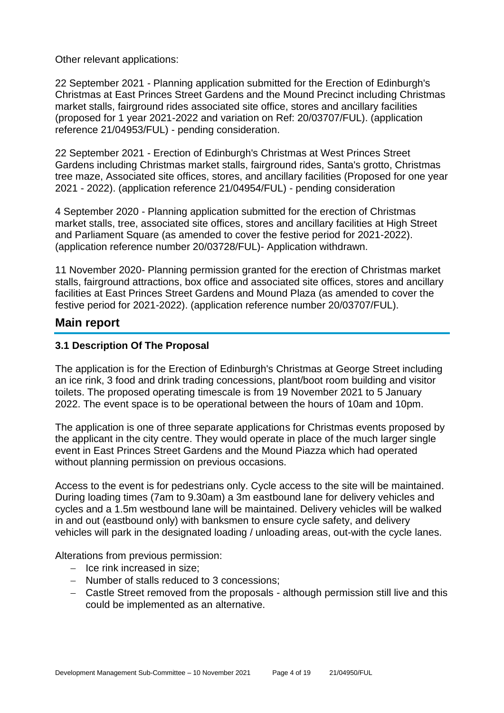Other relevant applications:

22 September 2021 - Planning application submitted for the Erection of Edinburgh's Christmas at East Princes Street Gardens and the Mound Precinct including Christmas market stalls, fairground rides associated site office, stores and ancillary facilities (proposed for 1 year 2021-2022 and variation on Ref: 20/03707/FUL). (application reference 21/04953/FUL) - pending consideration.

22 September 2021 - Erection of Edinburgh's Christmas at West Princes Street Gardens including Christmas market stalls, fairground rides, Santa's grotto, Christmas tree maze, Associated site offices, stores, and ancillary facilities (Proposed for one year 2021 - 2022). (application reference 21/04954/FUL) - pending consideration

4 September 2020 - Planning application submitted for the erection of Christmas market stalls, tree, associated site offices, stores and ancillary facilities at High Street and Parliament Square (as amended to cover the festive period for 2021-2022). (application reference number 20/03728/FUL)- Application withdrawn.

11 November 2020- Planning permission granted for the erection of Christmas market stalls, fairground attractions, box office and associated site offices, stores and ancillary facilities at East Princes Street Gardens and Mound Plaza (as amended to cover the festive period for 2021-2022). (application reference number 20/03707/FUL).

## **Main report**

## **3.1 Description Of The Proposal**

The application is for the Erection of Edinburgh's Christmas at George Street including an ice rink, 3 food and drink trading concessions, plant/boot room building and visitor toilets. The proposed operating timescale is from 19 November 2021 to 5 January 2022. The event space is to be operational between the hours of 10am and 10pm.

The application is one of three separate applications for Christmas events proposed by the applicant in the city centre. They would operate in place of the much larger single event in East Princes Street Gardens and the Mound Piazza which had operated without planning permission on previous occasions.

Access to the event is for pedestrians only. Cycle access to the site will be maintained. During loading times (7am to 9.30am) a 3m eastbound lane for delivery vehicles and cycles and a 1.5m westbound lane will be maintained. Delivery vehicles will be walked in and out (eastbound only) with banksmen to ensure cycle safety, and delivery vehicles will park in the designated loading / unloading areas, out-with the cycle lanes.

Alterations from previous permission:

- − Ice rink increased in size;
- − Number of stalls reduced to 3 concessions;
- − Castle Street removed from the proposals although permission still live and this could be implemented as an alternative.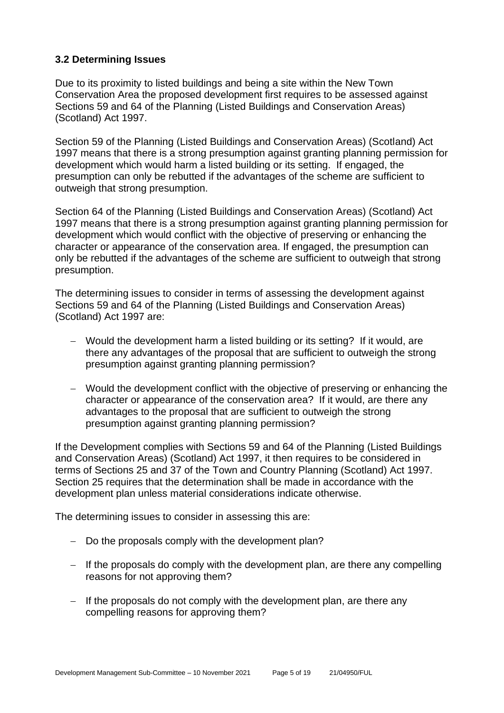## **3.2 Determining Issues**

Due to its proximity to listed buildings and being a site within the New Town Conservation Area the proposed development first requires to be assessed against Sections 59 and 64 of the Planning (Listed Buildings and Conservation Areas) (Scotland) Act 1997.

Section 59 of the Planning (Listed Buildings and Conservation Areas) (Scotland) Act 1997 means that there is a strong presumption against granting planning permission for development which would harm a listed building or its setting. If engaged, the presumption can only be rebutted if the advantages of the scheme are sufficient to outweigh that strong presumption.

Section 64 of the Planning (Listed Buildings and Conservation Areas) (Scotland) Act 1997 means that there is a strong presumption against granting planning permission for development which would conflict with the objective of preserving or enhancing the character or appearance of the conservation area. If engaged, the presumption can only be rebutted if the advantages of the scheme are sufficient to outweigh that strong presumption.

The determining issues to consider in terms of assessing the development against Sections 59 and 64 of the Planning (Listed Buildings and Conservation Areas) (Scotland) Act 1997 are:

- − Would the development harm a listed building or its setting? If it would, are there any advantages of the proposal that are sufficient to outweigh the strong presumption against granting planning permission?
- − Would the development conflict with the objective of preserving or enhancing the character or appearance of the conservation area? If it would, are there any advantages to the proposal that are sufficient to outweigh the strong presumption against granting planning permission?

If the Development complies with Sections 59 and 64 of the Planning (Listed Buildings and Conservation Areas) (Scotland) Act 1997, it then requires to be considered in terms of Sections 25 and 37 of the Town and Country Planning (Scotland) Act 1997. Section 25 requires that the determination shall be made in accordance with the development plan unless material considerations indicate otherwise.

The determining issues to consider in assessing this are:

- − Do the proposals comply with the development plan?
- − If the proposals do comply with the development plan, are there any compelling reasons for not approving them?
- − If the proposals do not comply with the development plan, are there any compelling reasons for approving them?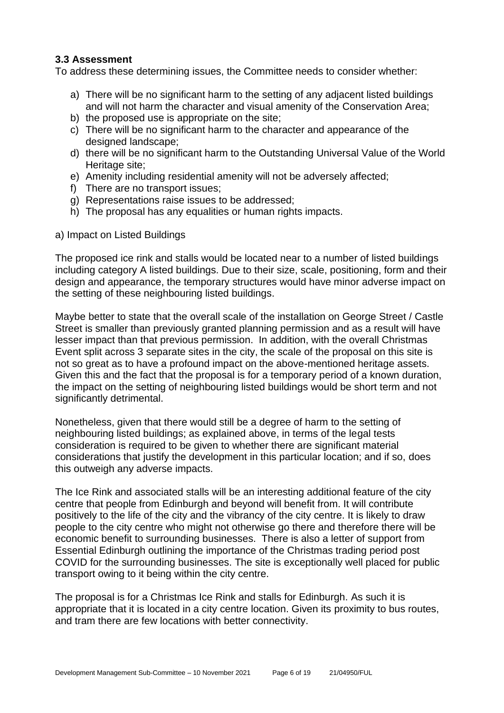## **3.3 Assessment**

To address these determining issues, the Committee needs to consider whether:

- a) There will be no significant harm to the setting of any adjacent listed buildings and will not harm the character and visual amenity of the Conservation Area;
- b) the proposed use is appropriate on the site;
- c) There will be no significant harm to the character and appearance of the designed landscape;
- d) there will be no significant harm to the Outstanding Universal Value of the World Heritage site:
- e) Amenity including residential amenity will not be adversely affected;
- f) There are no transport issues;
- g) Representations raise issues to be addressed;
- h) The proposal has any equalities or human rights impacts.
- a) Impact on Listed Buildings

The proposed ice rink and stalls would be located near to a number of listed buildings including category A listed buildings. Due to their size, scale, positioning, form and their design and appearance, the temporary structures would have minor adverse impact on the setting of these neighbouring listed buildings.

Maybe better to state that the overall scale of the installation on George Street / Castle Street is smaller than previously granted planning permission and as a result will have lesser impact than that previous permission. In addition, with the overall Christmas Event split across 3 separate sites in the city, the scale of the proposal on this site is not so great as to have a profound impact on the above-mentioned heritage assets. Given this and the fact that the proposal is for a temporary period of a known duration, the impact on the setting of neighbouring listed buildings would be short term and not significantly detrimental.

Nonetheless, given that there would still be a degree of harm to the setting of neighbouring listed buildings; as explained above, in terms of the legal tests consideration is required to be given to whether there are significant material considerations that justify the development in this particular location; and if so, does this outweigh any adverse impacts.

The Ice Rink and associated stalls will be an interesting additional feature of the city centre that people from Edinburgh and beyond will benefit from. It will contribute positively to the life of the city and the vibrancy of the city centre. It is likely to draw people to the city centre who might not otherwise go there and therefore there will be economic benefit to surrounding businesses. There is also a letter of support from Essential Edinburgh outlining the importance of the Christmas trading period post COVID for the surrounding businesses. The site is exceptionally well placed for public transport owing to it being within the city centre.

The proposal is for a Christmas Ice Rink and stalls for Edinburgh. As such it is appropriate that it is located in a city centre location. Given its proximity to bus routes, and tram there are few locations with better connectivity.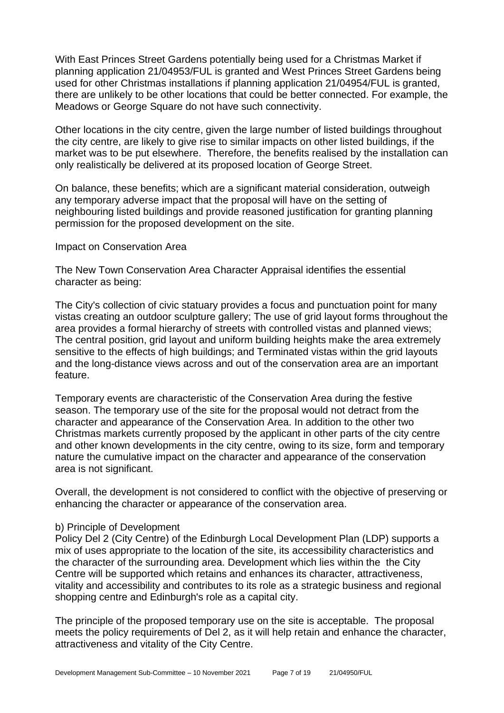With East Princes Street Gardens potentially being used for a Christmas Market if planning application 21/04953/FUL is granted and West Princes Street Gardens being used for other Christmas installations if planning application 21/04954/FUL is granted, there are unlikely to be other locations that could be better connected. For example, the Meadows or George Square do not have such connectivity.

Other locations in the city centre, given the large number of listed buildings throughout the city centre, are likely to give rise to similar impacts on other listed buildings, if the market was to be put elsewhere. Therefore, the benefits realised by the installation can only realistically be delivered at its proposed location of George Street.

On balance, these benefits; which are a significant material consideration, outweigh any temporary adverse impact that the proposal will have on the setting of neighbouring listed buildings and provide reasoned justification for granting planning permission for the proposed development on the site.

#### Impact on Conservation Area

The New Town Conservation Area Character Appraisal identifies the essential character as being:

The City's collection of civic statuary provides a focus and punctuation point for many vistas creating an outdoor sculpture gallery; The use of grid layout forms throughout the area provides a formal hierarchy of streets with controlled vistas and planned views; The central position, grid layout and uniform building heights make the area extremely sensitive to the effects of high buildings; and Terminated vistas within the grid layouts and the long-distance views across and out of the conservation area are an important feature.

Temporary events are characteristic of the Conservation Area during the festive season. The temporary use of the site for the proposal would not detract from the character and appearance of the Conservation Area. In addition to the other two Christmas markets currently proposed by the applicant in other parts of the city centre and other known developments in the city centre, owing to its size, form and temporary nature the cumulative impact on the character and appearance of the conservation area is not significant.

Overall, the development is not considered to conflict with the objective of preserving or enhancing the character or appearance of the conservation area.

#### b) Principle of Development

Policy Del 2 (City Centre) of the Edinburgh Local Development Plan (LDP) supports a mix of uses appropriate to the location of the site, its accessibility characteristics and the character of the surrounding area. Development which lies within the the City Centre will be supported which retains and enhances its character, attractiveness, vitality and accessibility and contributes to its role as a strategic business and regional shopping centre and Edinburgh's role as a capital city.

The principle of the proposed temporary use on the site is acceptable. The proposal meets the policy requirements of Del 2, as it will help retain and enhance the character, attractiveness and vitality of the City Centre.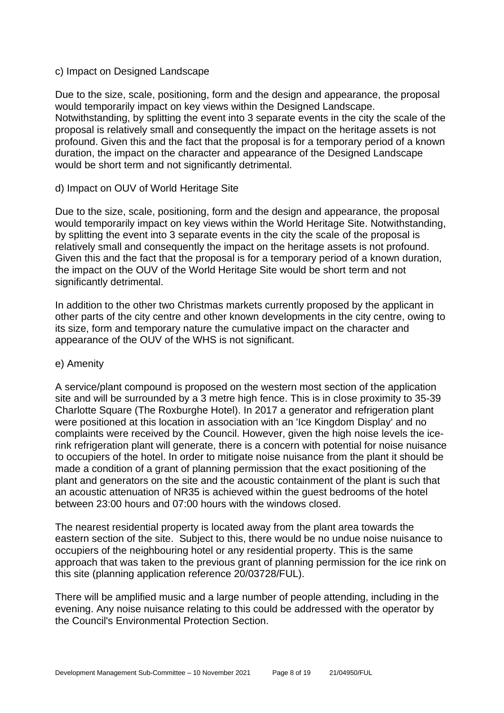#### c) Impact on Designed Landscape

Due to the size, scale, positioning, form and the design and appearance, the proposal would temporarily impact on key views within the Designed Landscape. Notwithstanding, by splitting the event into 3 separate events in the city the scale of the proposal is relatively small and consequently the impact on the heritage assets is not profound. Given this and the fact that the proposal is for a temporary period of a known duration, the impact on the character and appearance of the Designed Landscape would be short term and not significantly detrimental.

## d) Impact on OUV of World Heritage Site

Due to the size, scale, positioning, form and the design and appearance, the proposal would temporarily impact on key views within the World Heritage Site. Notwithstanding, by splitting the event into 3 separate events in the city the scale of the proposal is relatively small and consequently the impact on the heritage assets is not profound. Given this and the fact that the proposal is for a temporary period of a known duration, the impact on the OUV of the World Heritage Site would be short term and not significantly detrimental.

In addition to the other two Christmas markets currently proposed by the applicant in other parts of the city centre and other known developments in the city centre, owing to its size, form and temporary nature the cumulative impact on the character and appearance of the OUV of the WHS is not significant.

## e) Amenity

A service/plant compound is proposed on the western most section of the application site and will be surrounded by a 3 metre high fence. This is in close proximity to 35-39 Charlotte Square (The Roxburghe Hotel). In 2017 a generator and refrigeration plant were positioned at this location in association with an 'Ice Kingdom Display' and no complaints were received by the Council. However, given the high noise levels the icerink refrigeration plant will generate, there is a concern with potential for noise nuisance to occupiers of the hotel. In order to mitigate noise nuisance from the plant it should be made a condition of a grant of planning permission that the exact positioning of the plant and generators on the site and the acoustic containment of the plant is such that an acoustic attenuation of NR35 is achieved within the guest bedrooms of the hotel between 23:00 hours and 07:00 hours with the windows closed.

The nearest residential property is located away from the plant area towards the eastern section of the site. Subject to this, there would be no undue noise nuisance to occupiers of the neighbouring hotel or any residential property. This is the same approach that was taken to the previous grant of planning permission for the ice rink on this site (planning application reference 20/03728/FUL).

There will be amplified music and a large number of people attending, including in the evening. Any noise nuisance relating to this could be addressed with the operator by the Council's Environmental Protection Section.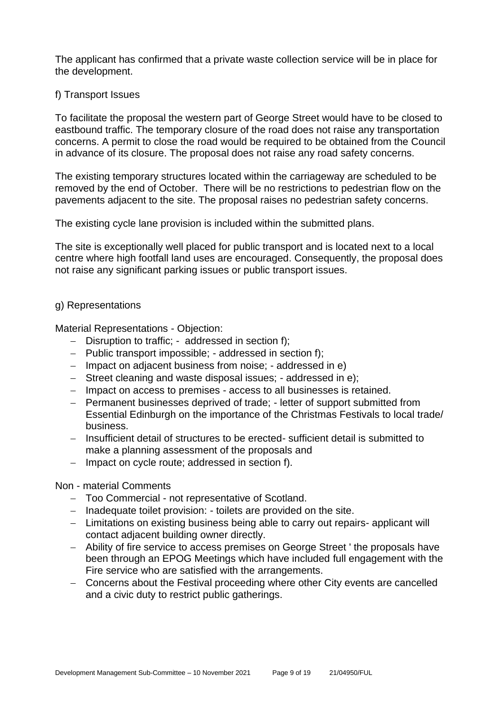The applicant has confirmed that a private waste collection service will be in place for the development.

#### f) Transport Issues

To facilitate the proposal the western part of George Street would have to be closed to eastbound traffic. The temporary closure of the road does not raise any transportation concerns. A permit to close the road would be required to be obtained from the Council in advance of its closure. The proposal does not raise any road safety concerns.

The existing temporary structures located within the carriageway are scheduled to be removed by the end of October. There will be no restrictions to pedestrian flow on the pavements adjacent to the site. The proposal raises no pedestrian safety concerns.

The existing cycle lane provision is included within the submitted plans.

The site is exceptionally well placed for public transport and is located next to a local centre where high footfall land uses are encouraged. Consequently, the proposal does not raise any significant parking issues or public transport issues.

#### g) Representations

Material Representations - Objection:

- − Disruption to traffic; addressed in section f);
- − Public transport impossible; addressed in section f);
- − Impact on adjacent business from noise; addressed in e)
- − Street cleaning and waste disposal issues; addressed in e);
- − Impact on access to premises access to all businesses is retained.
- − Permanent businesses deprived of trade; letter of support submitted from Essential Edinburgh on the importance of the Christmas Festivals to local trade/ business.
- − Insufficient detail of structures to be erected- sufficient detail is submitted to make a planning assessment of the proposals and
- − Impact on cycle route; addressed in section f).

#### Non - material Comments

- − Too Commercial not representative of Scotland.
- − Inadequate toilet provision: toilets are provided on the site.
- − Limitations on existing business being able to carry out repairs- applicant will contact adjacent building owner directly.
- − Ability of fire service to access premises on George Street ' the proposals have been through an EPOG Meetings which have included full engagement with the Fire service who are satisfied with the arrangements.
- − Concerns about the Festival proceeding where other City events are cancelled and a civic duty to restrict public gatherings.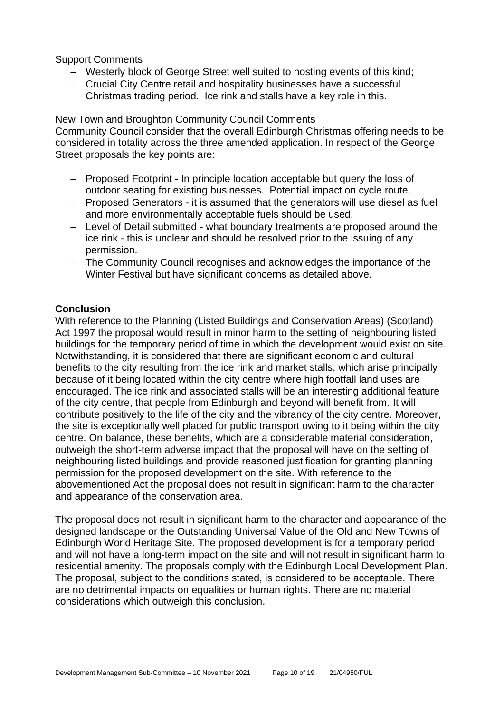## Support Comments

- − Westerly block of George Street well suited to hosting events of this kind;
- − Crucial City Centre retail and hospitality businesses have a successful Christmas trading period. Ice rink and stalls have a key role in this.

New Town and Broughton Community Council Comments

Community Council consider that the overall Edinburgh Christmas offering needs to be considered in totality across the three amended application. In respect of the George Street proposals the key points are:

- − Proposed Footprint In principle location acceptable but query the loss of outdoor seating for existing businesses. Potential impact on cycle route.
- − Proposed Generators it is assumed that the generators will use diesel as fuel and more environmentally acceptable fuels should be used.
- − Level of Detail submitted what boundary treatments are proposed around the ice rink - this is unclear and should be resolved prior to the issuing of any permission.
- − The Community Council recognises and acknowledges the importance of the Winter Festival but have significant concerns as detailed above.

## **Conclusion**

With reference to the Planning (Listed Buildings and Conservation Areas) (Scotland) Act 1997 the proposal would result in minor harm to the setting of neighbouring listed buildings for the temporary period of time in which the development would exist on site. Notwithstanding, it is considered that there are significant economic and cultural benefits to the city resulting from the ice rink and market stalls, which arise principally because of it being located within the city centre where high footfall land uses are encouraged. The ice rink and associated stalls will be an interesting additional feature of the city centre, that people from Edinburgh and beyond will benefit from. It will contribute positively to the life of the city and the vibrancy of the city centre. Moreover, the site is exceptionally well placed for public transport owing to it being within the city centre. On balance, these benefits, which are a considerable material consideration, outweigh the short-term adverse impact that the proposal will have on the setting of neighbouring listed buildings and provide reasoned justification for granting planning permission for the proposed development on the site. With reference to the abovementioned Act the proposal does not result in significant harm to the character and appearance of the conservation area.

The proposal does not result in significant harm to the character and appearance of the designed landscape or the Outstanding Universal Value of the Old and New Towns of Edinburgh World Heritage Site. The proposed development is for a temporary period and will not have a long-term impact on the site and will not result in significant harm to residential amenity. The proposals comply with the Edinburgh Local Development Plan. The proposal, subject to the conditions stated, is considered to be acceptable. There are no detrimental impacts on equalities or human rights. There are no material considerations which outweigh this conclusion.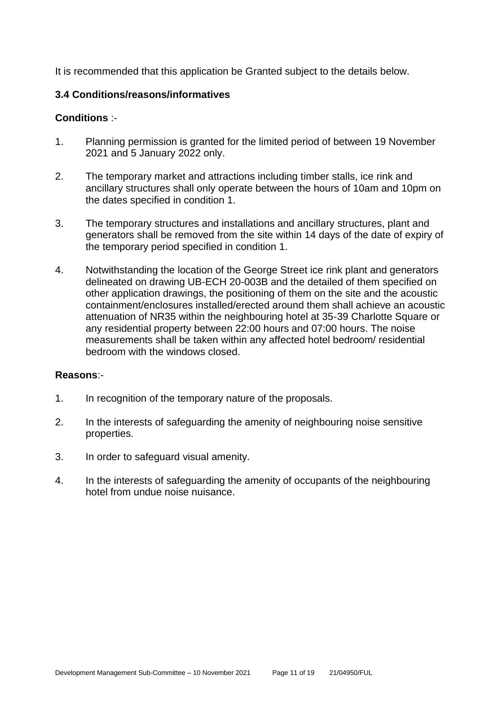It is recommended that this application be Granted subject to the details below.

## **3.4 Conditions/reasons/informatives**

## **Conditions** :-

- 1. Planning permission is granted for the limited period of between 19 November 2021 and 5 January 2022 only.
- 2. The temporary market and attractions including timber stalls, ice rink and ancillary structures shall only operate between the hours of 10am and 10pm on the dates specified in condition 1.
- 3. The temporary structures and installations and ancillary structures, plant and generators shall be removed from the site within 14 days of the date of expiry of the temporary period specified in condition 1.
- 4. Notwithstanding the location of the George Street ice rink plant and generators delineated on drawing UB-ECH 20-003B and the detailed of them specified on other application drawings, the positioning of them on the site and the acoustic containment/enclosures installed/erected around them shall achieve an acoustic attenuation of NR35 within the neighbouring hotel at 35-39 Charlotte Square or any residential property between 22:00 hours and 07:00 hours. The noise measurements shall be taken within any affected hotel bedroom/ residential bedroom with the windows closed.

## **Reasons**:-

- 1. In recognition of the temporary nature of the proposals.
- 2. In the interests of safeguarding the amenity of neighbouring noise sensitive properties.
- 3. In order to safeguard visual amenity.
- 4. In the interests of safeguarding the amenity of occupants of the neighbouring hotel from undue noise nuisance.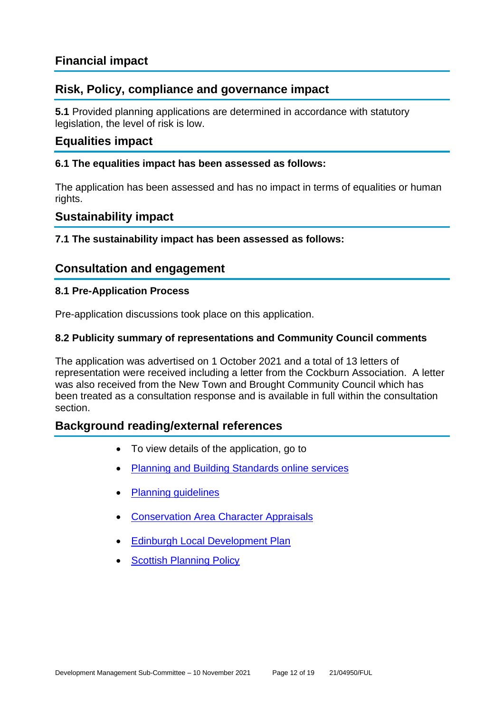## **Financial impact**

## **Risk, Policy, compliance and governance impact**

**5.1** Provided planning applications are determined in accordance with statutory legislation, the level of risk is low.

## **Equalities impact**

## **6.1 The equalities impact has been assessed as follows:**

The application has been assessed and has no impact in terms of equalities or human rights.

## **Sustainability impact**

## **7.1 The sustainability impact has been assessed as follows:**

## **Consultation and engagement**

## **8.1 Pre-Application Process**

Pre-application discussions took place on this application.

## **8.2 Publicity summary of representations and Community Council comments**

The application was advertised on 1 October 2021 and a total of 13 letters of representation were received including a letter from the Cockburn Association. A letter was also received from the New Town and Brought Community Council which has been treated as a consultation response and is available in full within the consultation section.

## **Background reading/external references**

- To view details of the application, go to
- [Planning and Building Standards online services](https://citydev-portal.edinburgh.gov.uk/idoxpa-web/search.do?action=simple&searchType=Application)
- [Planning guidelines](http://www.edinburgh.gov.uk/planningguidelines)
- [Conservation Area Character Appraisals](http://www.edinburgh.gov.uk/characterappraisals)
- **[Edinburgh Local Development Plan](http://www.edinburgh.gov.uk/localdevelopmentplan)**
- **[Scottish Planning Policy](http://www.scotland.gov.uk/Topics/Built-Environment/planning/Policy)**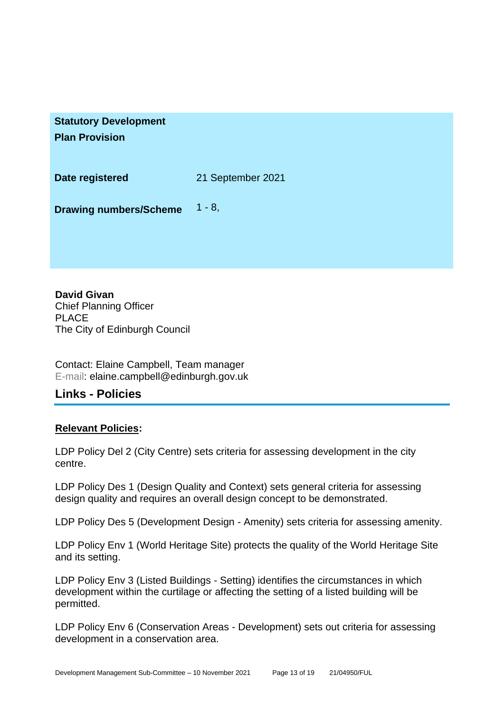| <b>Statutory Development</b> |
|------------------------------|
| <b>Plan Provision</b>        |
|                              |
|                              |

**Date registered** 21 September 2021

**Drawing numbers/Scheme** 1 - 8,

**David Givan** Chief Planning Officer PLACE The City of Edinburgh Council

Contact: Elaine Campbell, Team manager E-mail: elaine.campbell@edinburgh.gov.uk

## **Links - Policies**

## **Relevant Policies:**

LDP Policy Del 2 (City Centre) sets criteria for assessing development in the city centre.

LDP Policy Des 1 (Design Quality and Context) sets general criteria for assessing design quality and requires an overall design concept to be demonstrated.

LDP Policy Des 5 (Development Design - Amenity) sets criteria for assessing amenity.

LDP Policy Env 1 (World Heritage Site) protects the quality of the World Heritage Site and its setting.

LDP Policy Env 3 (Listed Buildings - Setting) identifies the circumstances in which development within the curtilage or affecting the setting of a listed building will be permitted.

LDP Policy Env 6 (Conservation Areas - Development) sets out criteria for assessing development in a conservation area.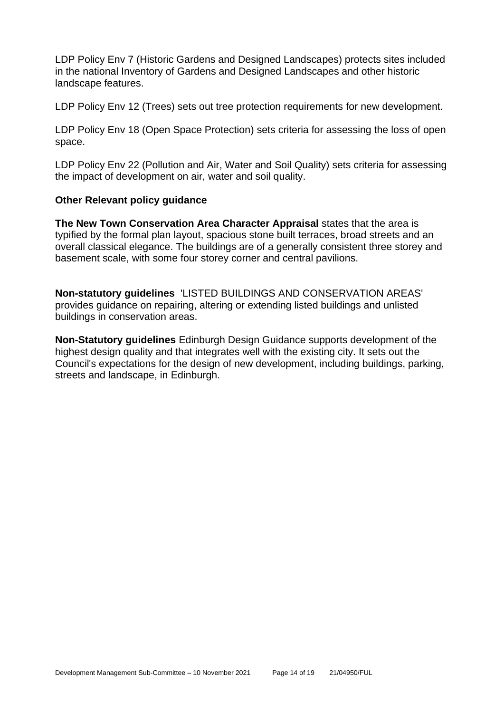LDP Policy Env 7 (Historic Gardens and Designed Landscapes) protects sites included in the national Inventory of Gardens and Designed Landscapes and other historic landscape features.

LDP Policy Env 12 (Trees) sets out tree protection requirements for new development.

LDP Policy Env 18 (Open Space Protection) sets criteria for assessing the loss of open space.

LDP Policy Env 22 (Pollution and Air, Water and Soil Quality) sets criteria for assessing the impact of development on air, water and soil quality.

## **Other Relevant policy guidance**

**The New Town Conservation Area Character Appraisal** states that the area is typified by the formal plan layout, spacious stone built terraces, broad streets and an overall classical elegance. The buildings are of a generally consistent three storey and basement scale, with some four storey corner and central pavilions.

**Non-statutory guidelines** 'LISTED BUILDINGS AND CONSERVATION AREAS' provides guidance on repairing, altering or extending listed buildings and unlisted buildings in conservation areas.

**Non-Statutory guidelines** Edinburgh Design Guidance supports development of the highest design quality and that integrates well with the existing city. It sets out the Council's expectations for the design of new development, including buildings, parking, streets and landscape, in Edinburgh.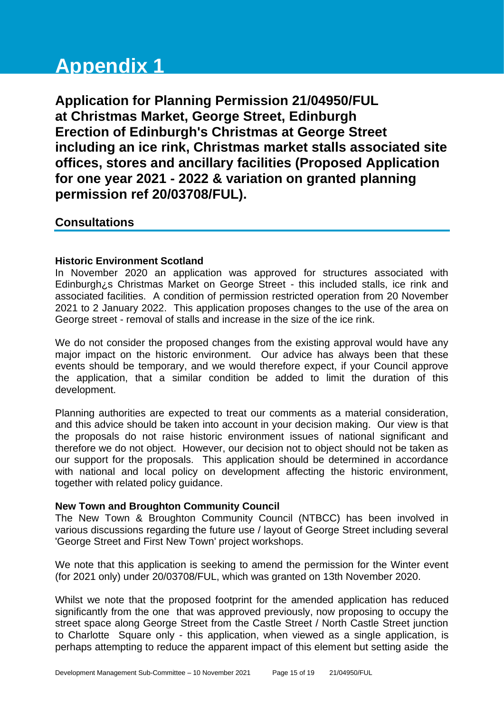# **Appendix 1**

**Application for Planning Permission 21/04950/FUL at Christmas Market, George Street, Edinburgh Erection of Edinburgh's Christmas at George Street including an ice rink, Christmas market stalls associated site offices, stores and ancillary facilities (Proposed Application for one year 2021 - 2022 & variation on granted planning permission ref 20/03708/FUL).**

## **Consultations**

## **Historic Environment Scotland**

In November 2020 an application was approved for structures associated with Edinburgh¿s Christmas Market on George Street - this included stalls, ice rink and associated facilities. A condition of permission restricted operation from 20 November 2021 to 2 January 2022. This application proposes changes to the use of the area on George street - removal of stalls and increase in the size of the ice rink.

We do not consider the proposed changes from the existing approval would have any major impact on the historic environment. Our advice has always been that these events should be temporary, and we would therefore expect, if your Council approve the application, that a similar condition be added to limit the duration of this development.

Planning authorities are expected to treat our comments as a material consideration, and this advice should be taken into account in your decision making. Our view is that the proposals do not raise historic environment issues of national significant and therefore we do not object. However, our decision not to object should not be taken as our support for the proposals. This application should be determined in accordance with national and local policy on development affecting the historic environment, together with related policy guidance.

## **New Town and Broughton Community Council**

The New Town & Broughton Community Council (NTBCC) has been involved in various discussions regarding the future use / layout of George Street including several 'George Street and First New Town' project workshops.

We note that this application is seeking to amend the permission for the Winter event (for 2021 only) under 20/03708/FUL, which was granted on 13th November 2020.

Whilst we note that the proposed footprint for the amended application has reduced significantly from the one that was approved previously, now proposing to occupy the street space along George Street from the Castle Street / North Castle Street junction to Charlotte Square only - this application, when viewed as a single application, is perhaps attempting to reduce the apparent impact of this element but setting aside the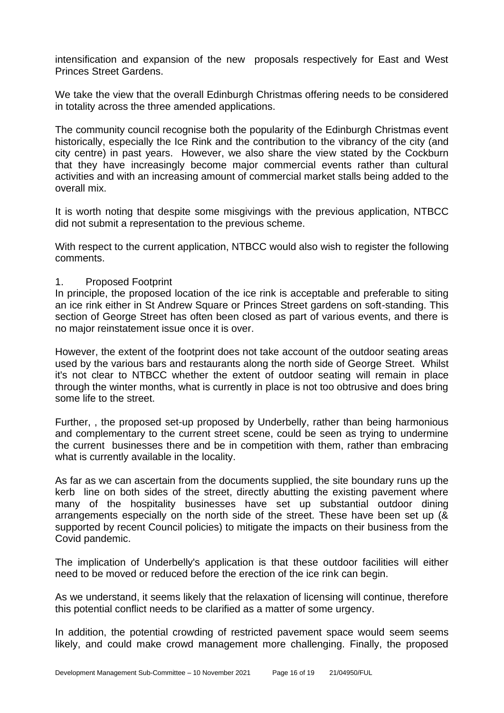intensification and expansion of the new proposals respectively for East and West Princes Street Gardens.

We take the view that the overall Edinburgh Christmas offering needs to be considered in totality across the three amended applications.

The community council recognise both the popularity of the Edinburgh Christmas event historically, especially the Ice Rink and the contribution to the vibrancy of the city (and city centre) in past years. However, we also share the view stated by the Cockburn that they have increasingly become major commercial events rather than cultural activities and with an increasing amount of commercial market stalls being added to the overall mix.

It is worth noting that despite some misgivings with the previous application, NTBCC did not submit a representation to the previous scheme.

With respect to the current application, NTBCC would also wish to register the following comments.

### 1. Proposed Footprint

In principle, the proposed location of the ice rink is acceptable and preferable to siting an ice rink either in St Andrew Square or Princes Street gardens on soft-standing. This section of George Street has often been closed as part of various events, and there is no major reinstatement issue once it is over.

However, the extent of the footprint does not take account of the outdoor seating areas used by the various bars and restaurants along the north side of George Street. Whilst it's not clear to NTBCC whether the extent of outdoor seating will remain in place through the winter months, what is currently in place is not too obtrusive and does bring some life to the street.

Further, , the proposed set-up proposed by Underbelly, rather than being harmonious and complementary to the current street scene, could be seen as trying to undermine the current businesses there and be in competition with them, rather than embracing what is currently available in the locality.

As far as we can ascertain from the documents supplied, the site boundary runs up the kerb line on both sides of the street, directly abutting the existing pavement where many of the hospitality businesses have set up substantial outdoor dining arrangements especially on the north side of the street. These have been set up (& supported by recent Council policies) to mitigate the impacts on their business from the Covid pandemic.

The implication of Underbelly's application is that these outdoor facilities will either need to be moved or reduced before the erection of the ice rink can begin.

As we understand, it seems likely that the relaxation of licensing will continue, therefore this potential conflict needs to be clarified as a matter of some urgency.

In addition, the potential crowding of restricted pavement space would seem seems likely, and could make crowd management more challenging. Finally, the proposed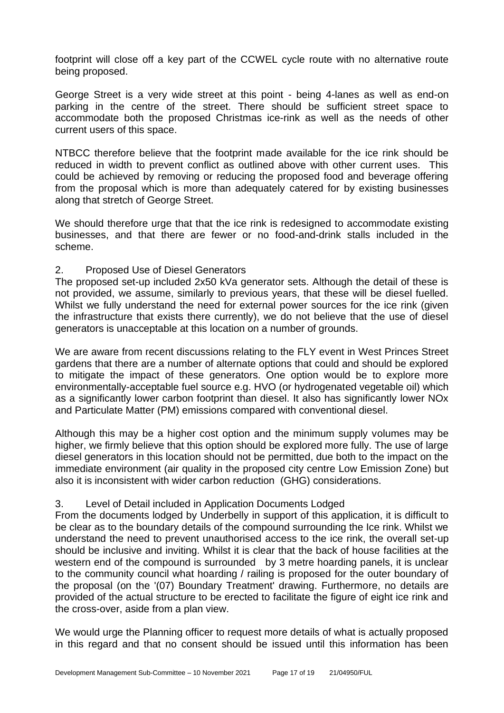footprint will close off a key part of the CCWEL cycle route with no alternative route being proposed.

George Street is a very wide street at this point - being 4-lanes as well as end-on parking in the centre of the street. There should be sufficient street space to accommodate both the proposed Christmas ice-rink as well as the needs of other current users of this space.

NTBCC therefore believe that the footprint made available for the ice rink should be reduced in width to prevent conflict as outlined above with other current uses. This could be achieved by removing or reducing the proposed food and beverage offering from the proposal which is more than adequately catered for by existing businesses along that stretch of George Street.

We should therefore urge that that the ice rink is redesigned to accommodate existing businesses, and that there are fewer or no food-and-drink stalls included in the scheme.

### 2. Proposed Use of Diesel Generators

The proposed set-up included 2x50 kVa generator sets. Although the detail of these is not provided, we assume, similarly to previous years, that these will be diesel fuelled. Whilst we fully understand the need for external power sources for the ice rink (given the infrastructure that exists there currently), we do not believe that the use of diesel generators is unacceptable at this location on a number of grounds.

We are aware from recent discussions relating to the FLY event in West Princes Street gardens that there are a number of alternate options that could and should be explored to mitigate the impact of these generators. One option would be to explore more environmentally-acceptable fuel source e.g. HVO (or hydrogenated vegetable oil) which as a significantly lower carbon footprint than diesel. It also has significantly lower NOx and Particulate Matter (PM) emissions compared with conventional diesel.

Although this may be a higher cost option and the minimum supply volumes may be higher, we firmly believe that this option should be explored more fully. The use of large diesel generators in this location should not be permitted, due both to the impact on the immediate environment (air quality in the proposed city centre Low Emission Zone) but also it is inconsistent with wider carbon reduction (GHG) considerations.

## 3. Level of Detail included in Application Documents Lodged

From the documents lodged by Underbelly in support of this application, it is difficult to be clear as to the boundary details of the compound surrounding the Ice rink. Whilst we understand the need to prevent unauthorised access to the ice rink, the overall set-up should be inclusive and inviting. Whilst it is clear that the back of house facilities at the western end of the compound is surrounded by 3 metre hoarding panels, it is unclear to the community council what hoarding / railing is proposed for the outer boundary of the proposal (on the '(07) Boundary Treatment' drawing. Furthermore, no details are provided of the actual structure to be erected to facilitate the figure of eight ice rink and the cross-over, aside from a plan view.

We would urge the Planning officer to request more details of what is actually proposed in this regard and that no consent should be issued until this information has been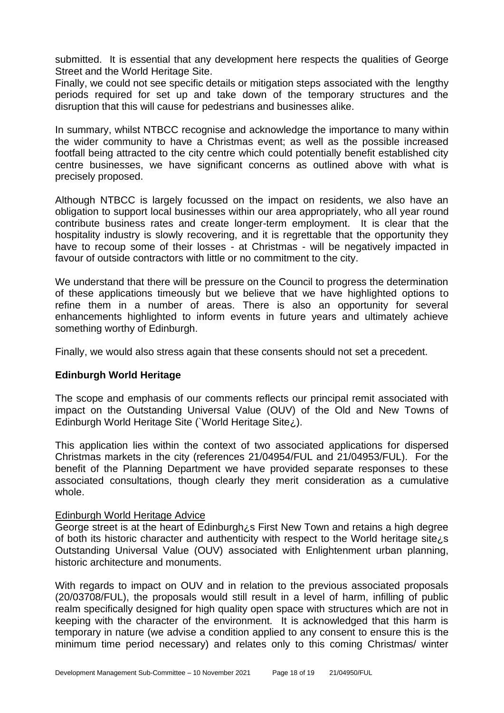submitted. It is essential that any development here respects the qualities of George Street and the World Heritage Site.

Finally, we could not see specific details or mitigation steps associated with the lengthy periods required for set up and take down of the temporary structures and the disruption that this will cause for pedestrians and businesses alike.

In summary, whilst NTBCC recognise and acknowledge the importance to many within the wider community to have a Christmas event; as well as the possible increased footfall being attracted to the city centre which could potentially benefit established city centre businesses, we have significant concerns as outlined above with what is precisely proposed.

Although NTBCC is largely focussed on the impact on residents, we also have an obligation to support local businesses within our area appropriately, who all year round contribute business rates and create longer-term employment. It is clear that the hospitality industry is slowly recovering, and it is regrettable that the opportunity they have to recoup some of their losses - at Christmas - will be negatively impacted in favour of outside contractors with little or no commitment to the city.

We understand that there will be pressure on the Council to progress the determination of these applications timeously but we believe that we have highlighted options to refine them in a number of areas. There is also an opportunity for several enhancements highlighted to inform events in future years and ultimately achieve something worthy of Edinburgh.

Finally, we would also stress again that these consents should not set a precedent.

#### **Edinburgh World Heritage**

The scope and emphasis of our comments reflects our principal remit associated with impact on the Outstanding Universal Value (OUV) of the Old and New Towns of Edinburgh World Heritage Site (`World Heritage Site¿).

This application lies within the context of two associated applications for dispersed Christmas markets in the city (references 21/04954/FUL and 21/04953/FUL). For the benefit of the Planning Department we have provided separate responses to these associated consultations, though clearly they merit consideration as a cumulative whole.

#### Edinburgh World Heritage Advice

George street is at the heart of Edinburgh¿s First New Town and retains a high degree of both its historic character and authenticity with respect to the World heritage site<sub>i</sub>s Outstanding Universal Value (OUV) associated with Enlightenment urban planning, historic architecture and monuments.

With regards to impact on OUV and in relation to the previous associated proposals (20/03708/FUL), the proposals would still result in a level of harm, infilling of public realm specifically designed for high quality open space with structures which are not in keeping with the character of the environment. It is acknowledged that this harm is temporary in nature (we advise a condition applied to any consent to ensure this is the minimum time period necessary) and relates only to this coming Christmas/ winter